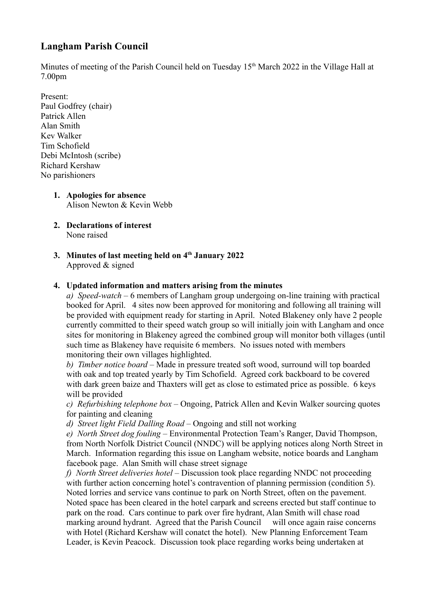# **Langham Parish Council**

Minutes of meeting of the Parish Council held on Tuesday 15<sup>th</sup> March 2022 in the Village Hall at 7.00pm

- Present: Paul Godfrey (chair) Patrick Allen Alan Smith Kev Walker Tim Schofield Debi McIntosh (scribe) Richard Kershaw No parishioners
	- **1. Apologies for absence**  Alison Newton & Kevin Webb
	- **2. Declarations of interest**  None raised
	- **3. Minutes of last meeting held on 4th January 2022** Approved & signed

## **4. Updated information and matters arising from the minutes**

*a) Speed-watch* – 6 members of Langham group undergoing on-line training with practical booked for April. 4 sites now been approved for monitoring and following all training will be provided with equipment ready for starting in April. Noted Blakeney only have 2 people currently committed to their speed watch group so will initially join with Langham and once sites for monitoring in Blakeney agreed the combined group will monitor both villages (until such time as Blakeney have requisite 6 members. No issues noted with members monitoring their own villages highlighted.

*b) Timber notice board* – Made in pressure treated soft wood, surround will top boarded with oak and top treated yearly by Tim Schofield. Agreed cork backboard to be covered with dark green baize and Thaxters will get as close to estimated price as possible. 6 keys will be provided

*c) Refurbishing telephone box* – Ongoing, Patrick Allen and Kevin Walker sourcing quotes for painting and cleaning

*d) Street light Field Dalling Road* – Ongoing and still not working

*e) North Street dog fouling –* Environmental Protection Team's Ranger, David Thompson, from North Norfolk District Council (NNDC) will be applying notices along North Street in March. Information regarding this issue on Langham website, notice boards and Langham facebook page. Alan Smith will chase street signage

*f) North Street deliveries hotel* – Discussion took place regarding NNDC not proceeding with further action concerning hotel's contravention of planning permission (condition 5). Noted lorries and service vans continue to park on North Street, often on the pavement. Noted space has been cleared in the hotel carpark and screens erected but staff continue to park on the road. Cars continue to park over fire hydrant, Alan Smith will chase road marking around hydrant. Agreed that the Parish Council will once again raise concerns with Hotel (Richard Kershaw will conatct the hotel). New Planning Enforcement Team Leader, is Kevin Peacock. Discussion took place regarding works being undertaken at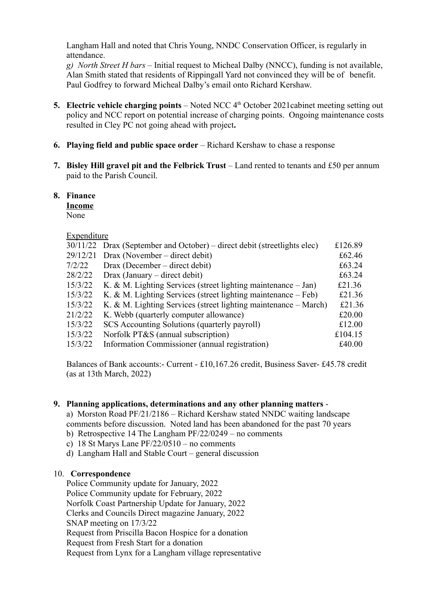Langham Hall and noted that Chris Young, NNDC Conservation Officer, is regularly in attendance.

*g) North Street H bars* – Initial request to Micheal Dalby (NNCC), funding is not available, Alan Smith stated that residents of Rippingall Yard not convinced they will be of benefit. Paul Godfrey to forward Micheal Dalby's email onto Richard Kershaw.

- **5. Electric vehicle charging points** Noted NCC 4<sup>th</sup> October 2021cabinet meeting setting out policy and NCC report on potential increase of charging points. Ongoing maintenance costs resulted in Cley PC not going ahead with project**.**
- **6. Playing field and public space order** Richard Kershaw to chase a response
- **7. Bisley Hill gravel pit and the Felbrick Trust** Land rented to tenants and £50 per annum paid to the Parish Council.

### **8. Finance**

**Income**

None

### Expenditure

|          |                                                                          | £126.89 |
|----------|--------------------------------------------------------------------------|---------|
|          | 30/11/22 Drax (September and October) – direct debit (streetlights elec) |         |
| 29/12/21 | Drax (November – direct debit)                                           | £62.46  |
| 7/2/22   | Drax (December – direct debit)                                           | £63.24  |
| 28/2/22  | $Draw (January - direct debt)$                                           | £63.24  |
| 15/3/22  | K. & M. Lighting Services (street lighting maintenance - Jan)            | £21.36  |
| 15/3/22  | K. & M. Lighting Services (street lighting maintenance $-$ Feb)          | £21.36  |
| 15/3/22  | K. & M. Lighting Services (street lighting maintenance $-$ March)        | £21.36  |
| 21/2/22  | K. Webb (quarterly computer allowance)                                   | £20.00  |
| 15/3/22  | SCS Accounting Solutions (quarterly payroll)                             | £12.00  |
| 15/3/22  | Norfolk PT&S (annual subscription)                                       | £104.15 |
| 15/3/22  | Information Commissioner (annual registration)                           | £40.00  |
|          |                                                                          |         |

Balances of Bank accounts:- Current - £10,167.26 credit, Business Saver- £45.78 credit (as at 13th March, 2022)

#### **9. Planning applications, determinations and any other planning matters** -

a) Morston Road PF/21/2186 – Richard Kershaw stated NNDC waiting landscape comments before discussion. Noted land has been abandoned for the past 70 years b) Retrospective 14 The Langham PF/22/0249 – no comments

c) 18 St Marys Lane PF/22/0510 – no comments

d) Langham Hall and Stable Court – general discussion

## 10. **Correspondence**

Police Community update for January, 2022 Police Community update for February, 2022 Norfolk Coast Partnership Update for January, 2022 Clerks and Councils Direct magazine January, 2022 SNAP meeting on 17/3/22 Request from Priscilla Bacon Hospice for a donation Request from Fresh Start for a donation Request from Lynx for a Langham village representative